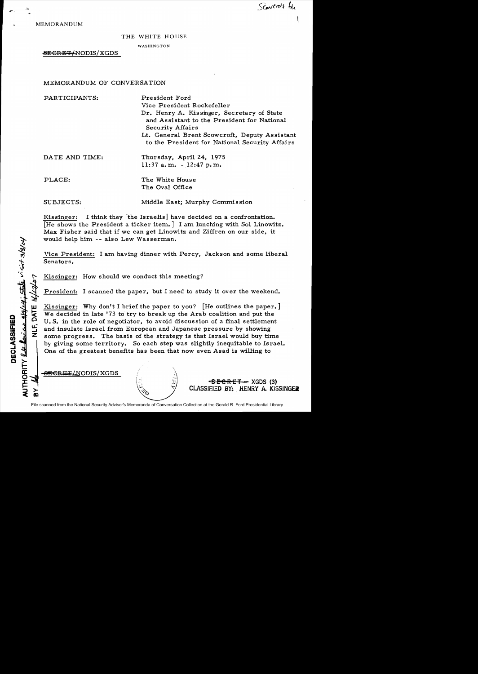Scartroft for

MEMORANDUM

.,-.

## THE WHITE HOUSE

WASHINGTON

-SEGRBT/NODIS/XGDS

MEMORANDUM OF CONVERSATION

| PARTICIPANTS:  | President Ford<br>Vice President Rockefeller<br>Dr. Henry A. Kissinger, Secretary of State<br>and Assistant to the President for National<br><b>Security Affairs</b><br>Lt. General Brent Scowcroft, Deputy Assistant<br>to the President for National Security Affairs |
|----------------|-------------------------------------------------------------------------------------------------------------------------------------------------------------------------------------------------------------------------------------------------------------------------|
| DATE AND TIME: | Thursday, April 24, 1975<br>$11:37$ a.m. $-12:47$ p.m.                                                                                                                                                                                                                  |
| PLACE:         | The White House<br>The Oval Office                                                                                                                                                                                                                                      |

SUBJECTS: Middle East; Murphy Commission

Kissinger: I think they [the Israelis] have decided on a confrontation. [He shows the President a ticker item.] I am lunching with Sol Linowitz. Max Fisher said that if we can get Linowitz and Ziffren on our side, it would help him -- also Lew Wasserman.

Vice President: I am having dinner with Percy, Jackson and some liberal Senators.

Kissinger: How should we conduct this meeting?

President: I scanned the paper, but I need to study it over the weekend.

<sup>~</sup>o Kissinger: Why don't I brief the paper to you? [He outlines the paper.] We decided in late '73 to try to break up the Arab coalition and put the U. S. in the role of negotiator, to avoid discus sion of a final settlement and insulate Israel from European and Japanese pressure by showing some progress. The basis of the strategy is that Israel would buy time by giving some territory. So each step was slightly inequitable to Israel. One of the greatest benefits has been that now even Asad is willing to

<del>SECRET</del>/NODIS/XGDS

File scanned from the National Security Adviser's Memoranda of Conversation Collection at the Gerald R. Ford Presidential Library

**SECRET** - XGDS (3) CLASSIFIED BY: HENRY A. KISSINGER

boxes glately; state v-s-3/8/04 ien<br>Fied en tJ) ECLA  $\mathsf{a} \succcurlyeq$ a: o x

w

 $\bf{\tilde a}$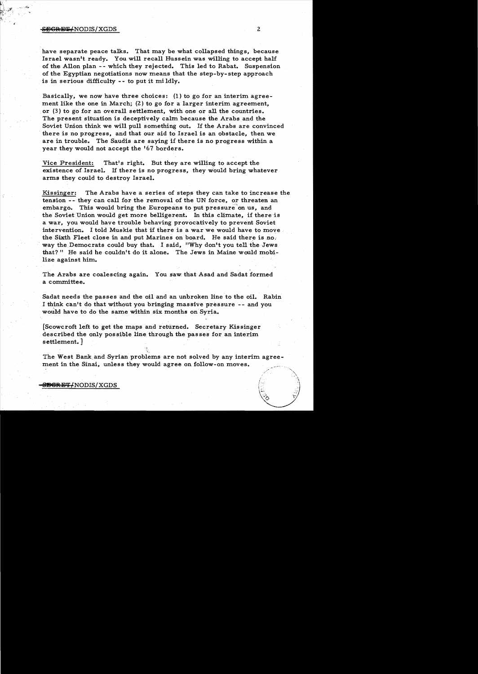## S<del>ECRET/</del>NODIS/XGDS 2

have separate peace talks. That may be what collapsed things, because Israel wasn't ready. You will recall Hussein was willing to accept half of the Allon plan - - which they rejected. This led to Rabat. Suspension of the Egyptian negotiations now means that the step-by-step approach is in serious difficulty -- to put it mi ldly.

Basically, we now have three choices: (I) to go for an interim agreement like the one in March; (2) to go for a larger interim agreement, or (3) to go for an overall settlement, with one or all the countries. The present situation is deceptively calm because the Arabs and the Soviet Union think we will pull something out. If the Arabs are convinced there is no progress, and that our aid to Israel is an obstacle, then we are in trouble. The Saudis are saying if there is no progress within a year they would not accept the '67 borders.

Vice President: That's right. But they are willing to accept the existence of Israel. If there is no progress, they would bring whatever arms they could to destroy Israel.

Kissinger: The Arabs have a series of steps they can take to increase the tension - - they can call for the removal of the UN force, or threaten an embargo. This would bring the Europeans to put pressure on us, and the Soviet Union would get more belligerent. In this climate, if there'is a war, you would have trouble behaving provocatively to prevent Soviet intervention. I told Muskie that if there is a war we would have to move the Sixth Fleet close in and put Marines on board. He said there is no. way the Democrats could buy that. I said, "Why don't you tell the Jews that?" He said he couldn't do it alone. The Jews in Maine would mobilize against him.

The Arabs are coalescing again. You saw, that Asad and Sadat formed a committee.

Sadat needs the passes and the oil and an unbroken line to the oil. Rabin I think can't do that without you bringing massive pressure -- and you would have to do the same within six months on Syria.

[Scowcroft left to get the maps and returned. Secretary Kissinger described the only possible line through the passes for an interim settlement. ]

The West Bank. and Syrian problems are not solved by any interim agreement in the Sinai, unless they would agree on follow-on moves.

## <del>SBCRET/</del>NODIS/XGDS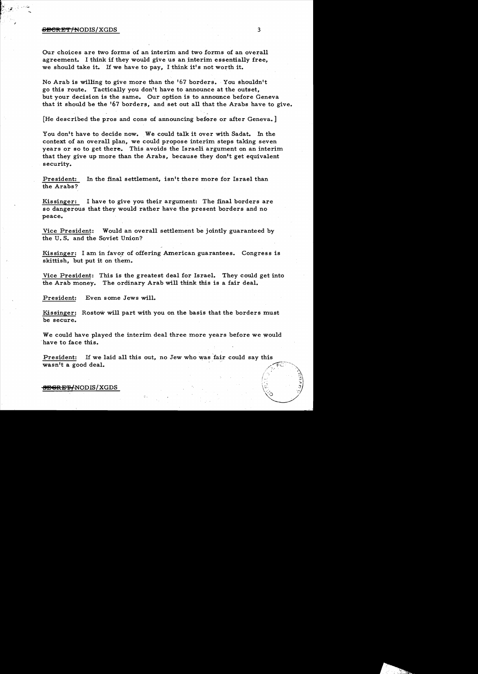# $\overline{\text{B}CRF}$   $\overline{\text{F}}$   $\overline{\text{F}}$   $\overline{\text{F}}$   $\overline{\text{F}}$   $\overline{\text{F}}$   $\overline{\text{F}}$   $\overline{\text{F}}$   $\overline{\text{F}}$   $\overline{\text{F}}$   $\overline{\text{F}}$   $\overline{\text{F}}$   $\overline{\text{F}}$   $\overline{\text{F}}$   $\overline{\text{F}}$   $\overline{\text{F}}$   $\overline{\text{F}}$   $\overline{\text{F}}$   $\overline{\text{F}}$   $\overline{\text{F}}$

*l* 

Our choices are two forms of an interim and two forms of an overall agreement. I think if they would give us an interim essentially free, we should take it. If we have to pay, I think it's not worth it.

No Arab is willing to give more than the '67 borders. You shouldn't go this route. Tactically you don't have to announce at the outset, but your decision is the same. Our option is to announce before Geneva that it should be the '67 borders, and set out all that the Arabs have to give.

[He described the pros and cons of announcing before or after Geneva. ]

You don't have to decide now. We could talk it over with Sadat. In the context of an overall plan, we could propose interim steps taking seven years or so to get there. This avoids the Israeli argument on an interim that they give up more than the Arabs, because they don't get equivalent security.

President: the Arabs? In the final settlement, isn't there more for Israel than

Kissinger: I have to give you their argument: The final borders are so dangerous that they would rather have the present borders and no peace.

Vice President: Would an overall settlement be jointly guaranteed by the U. S. and the Soviet Union?

Kissinger: I am in favor of offering American guarantees. Congress is skittish, but put it on them.

Vice President: This is the greatest deal for Israel. They could get into the Arab money. The ordinary Arab will think this is a fair deal.

President: Even some Jews will.

Kissinger: Rostow will part with you on the basis that the borders must be secure.

We could have played the interim deal three more years before we would 'have to face this.

President: If we laid all this out, no Jew who was fair could say this wasn't a good deal.

#### <del>SEGRET/</del>NODIS/XGDS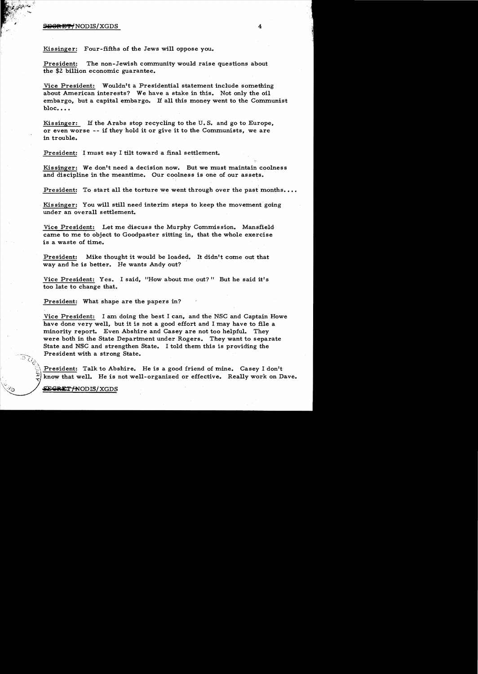## <del>SGRET/</del> NODIS/XGDS 4

Kissinger: Four-fifths of the Jews will oppose you.

President: The non-Jewish community would raise questions about the \$2 billion economic guarantee.

Vice President: Wouldn't a Presidential statement include something about American interests? We have a stake in this. Not only the oil embargo, but a capital embargo. If all this money went to the Communist bloc....

Kissinger: If the Arabs stop recycling to the U. S. and go to Europe, or even worse  $-$ - if they hold it or give it to the Communists, we are in trouble.

President: I must say I tilt toward a final settlement.

Kissinger: We don't need a decision now. But we must maintain coolness and discipline in the meantime. Our coolness is one of our assets.

President: To start all the torture we went through over the past months....

Kissinger: You will still need interim steps to keep the movement going under an overall settlement.

Vice President: Let me discuss the Murphy Commission. Mansfield came to me to object to Goodpaster sitting in, that the whole exercise is a waste of time.

President: Mike thought it would be loaded. It didn't come out that way and he is better. He wants Andy out?

Vice President: Yes. I said, "How about me out?" But he said it's too late to change that.

President: What shape are the papers in?

Vice President: I am doing the best I can, and the NSC and Captain Howe have done very well, but it is not a, good effort and I may have to file a minority report. Even Abshire and Casey are not too helpful. They were both in the State Department under Rogers. They want to separate State and NSC and strengthen State. I told them this is providing the President with a strong State.

President: Talk to Abshire. He is a good friend of mine. Casey I don't know that well. He is not well-organized or effective. Really work on Dave.

 $\Sigma$ GRET/NODIS/XGDS

 $\cdot \cdot \cdot \cdot \cdot \cdot \cdot \cdot$ 

 $-$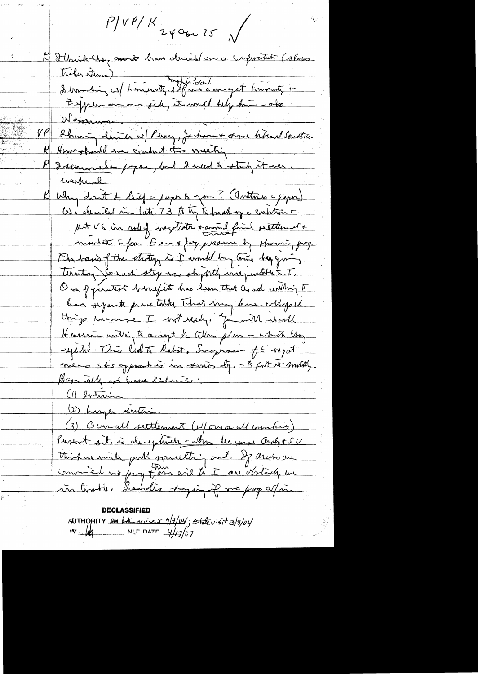$P/V$ P/K 240pm 75 K Ilmink they are to have decided on a conferentity (shapes triburations)<br>2 Marchin : est hinistrate et des deux concept himantes to Zipen on sid, it would help hui - oko  $V\ell$ Sharing denner of Peray, Jahon-+ one hoteral Southern How should me contruct two meeting Itemande paper, but 2 med 2 study it ver Why don't & loved a paper to you? (Interior apaper) put US in roley inceptante + animal final petitement + montat I for E en 8 for unsure by showing frog. Fly basis of the strategy in I would by the bey giving territing. So each stop was shy with we purtothe & I. Our procentest berry its has hear that as and within A have symite place talks. That may have colleged things wearse I wit ready, for with weak Hasser within to a right to allow plan - which they septited. This led to Ration, Surgerser of E-myst meno sks opprachio in suring dif. - A furt it multig. Boom will are have 3 chances. (1) entraine distance (3) Ocual settlement (b) on a all emmines) Pusent sit, is decytainly called lecure Crahoto V think with pull journalting out. If archo are in trade. Landis samin if no pop a/in

AUTHORITY <del>en LE vier 9/9/04; stat</del>evisit 3/8/04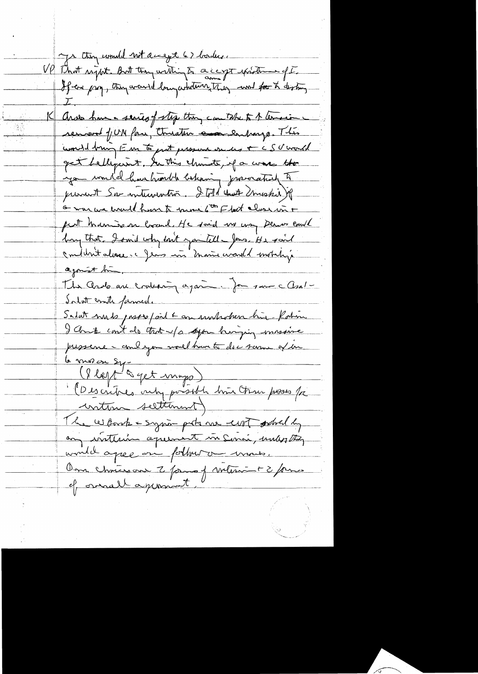ys they would not accept 67 borders. VP That right. But they within to a capt pride of I 15 Aros hum a series of step thing can take to A lemocine removed fUN face, threather essentially This und trung Em to put pressure en us + CSU would get helliquent. In this channets, if a was the you would have hunted behaving jurication to prevent Son intervention. It told that muskie of <u>G was we would have to move 6th Flact class in +</u> put manison local. He said we way Denver embl hang that I smill why bank you tell - Jours. He said conduntations c Jeans in main world mobility agonist bin. The Ando are crocharing again. James and all Intat conte famile. Salat muss passe pail + an unhoben him - Robin I Christ cout do that u/s deport winging unsaine pressence - and you would have to do c same of he le moise sy.<br>(Ilept à get mappe )<br>: (Descritres vuty possible bien trou poses fre continu seltiment) The work - syria pots me unt sabelly any instituin aquiment in Senai, unles they would agree on follow on mous. Om chrison 2 para j volument 2 pris of overall agromment.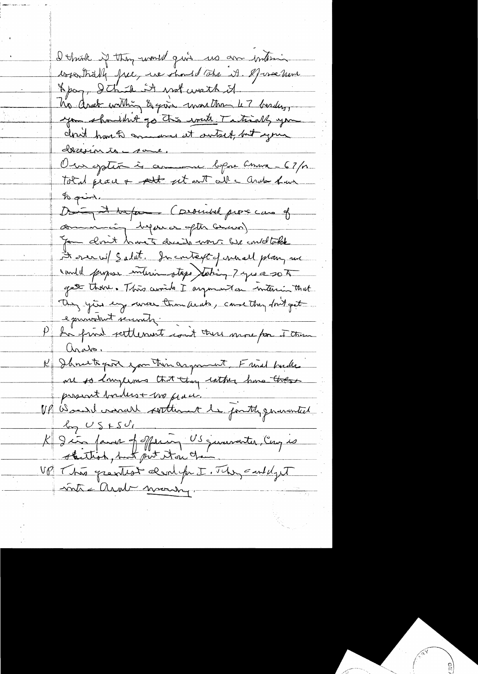Dethink if they would give us are interior worsträll free, we should take it. If we have Apaq, Ithick it was wath it his ander within & give work than 47 besters, you shouldn't go this write Tatically you Init havet annunce et autres, but agrice Total peace + pet et aut ail carde hun Doing it before (provided prove can of communion dispose ofte circum) A over wil & a lat. In context of me all plan, an conde propose interior steps stating 7 years 20 A gate thou. This winds I argument on interior that They you any wear transleed, case they don't get P de print settlement cout tous more for Ftran examatant servats. ando.<br>I Shout port you thin argument. Fried bucks present boiles + me paci.<br>VP Wood landel retterant la fontly generated K Jin fans of offering US juniorites, Cay is VP This greatest denlife I. They carleyet -voite = Andr maring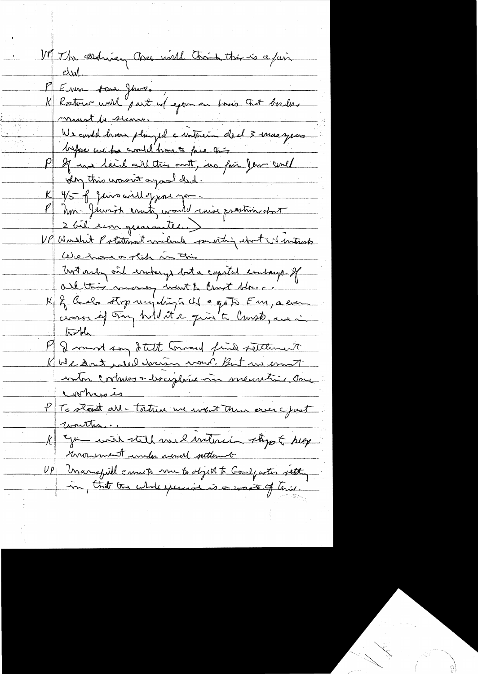VP The sending and will think this is a fair  $\parallel$  clear P Enne san June.<br>K Rostour unil part us exponent brio trit boules maurit la seconde We condit have pluged a interement de 13 mars jeunes Le 4/5 par aillepport you. P Mon-Juviot cratin would mise prestiment 2 bil en geraranter.) UP Wurshit Potatement willed pourting about US interests We have of the in this Tort only ont embergs but a copital embargo. If K & Quelo stop recepting a che o goto Fm, a even K We dont viel doncer vous But en mort PTG stand art - tation we want then over yout<br>To stand art - tation we want then over yout<br>The wave of the mode soul settlement